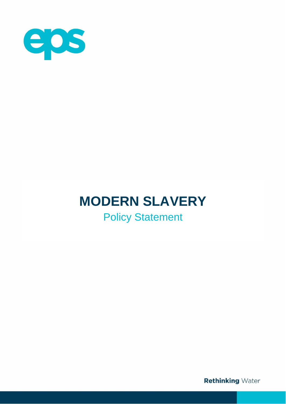

# **MODERN SLAVERY**

Policy Statement

**Rethinking Water**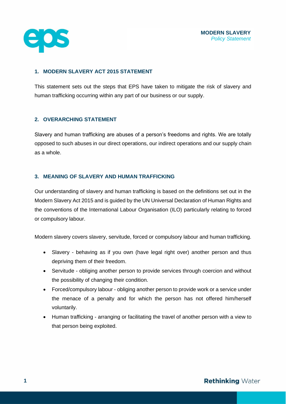

## **1. MODERN SLAVERY ACT 2015 STATEMENT**

This statement sets out the steps that EPS have taken to mitigate the risk of slavery and human trafficking occurring within any part of our business or our supply.

### **2. OVERARCHING STATEMENT**

Slavery and human trafficking are abuses of a person's freedoms and rights. We are totally opposed to such abuses in our direct operations, our indirect operations and our supply chain as a whole.

#### **3. MEANING OF SLAVERY AND HUMAN TRAFFICKING**

Our understanding of slavery and human trafficking is based on the definitions set out in the Modern Slavery Act 2015 and is guided by the UN Universal Declaration of Human Rights and the conventions of the International Labour Organisation (ILO) particularly relating to forced or compulsory labour.

Modern slavery covers slavery, servitude, forced or compulsory labour and human trafficking.

- Slavery behaving as if you own (have legal right over) another person and thus depriving them of their freedom.
- Servitude obliging another person to provide services through coercion and without the possibility of changing their condition.
- Forced/compulsory labour obliging another person to provide work or a service under the menace of a penalty and for which the person has not offered him/herself voluntarily.
- Human trafficking arranging or facilitating the travel of another person with a view to that person being exploited.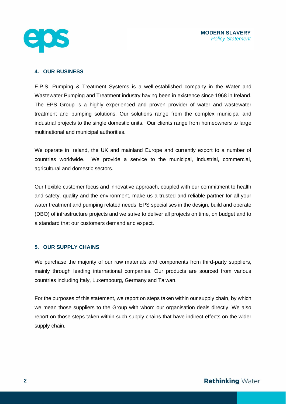

#### **4. OUR BUSINESS**

E.P.S. Pumping & Treatment Systems is a well-established company in the Water and Wastewater Pumping and Treatment industry having been in existence since 1968 in Ireland. The EPS Group is a highly experienced and proven provider of water and wastewater treatment and pumping solutions. Our solutions range from the complex municipal and industrial projects to the single domestic units. Our clients range from homeowners to large multinational and municipal authorities.

We operate in Ireland, the UK and mainland Europe and currently export to a number of countries worldwide. We provide a service to the municipal, industrial, commercial, agricultural and domestic sectors.

Our flexible customer focus and innovative approach, coupled with our commitment to health and safety, quality and the environment, make us a trusted and reliable partner for all your water treatment and pumping related needs. EPS specialises in the design, build and operate (DBO) of infrastructure projects and we strive to deliver all projects on time, on budget and to a standard that our customers demand and expect.

### **5. OUR SUPPLY CHAINS**

We purchase the majority of our raw materials and components from third-party suppliers, mainly through leading international companies. Our products are sourced from various countries including Italy, Luxembourg, Germany and Taiwan.

For the purposes of this statement, we report on steps taken within our supply chain, by which we mean those suppliers to the Group with whom our organisation deals directly. We also report on those steps taken within such supply chains that have indirect effects on the wider supply chain.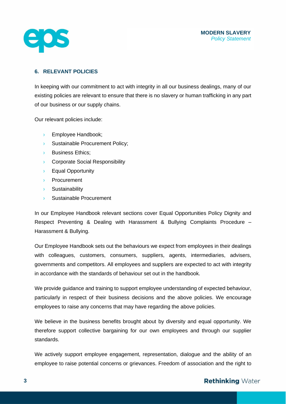

# **6. RELEVANT POLICIES**

In keeping with our commitment to act with integrity in all our business dealings, many of our existing policies are relevant to ensure that there is no slavery or human trafficking in any part of our business or our supply chains.

Our relevant policies include:

- › Employee Handbook;
- **Sustainable Procurement Policy;**
- › Business Ethics;
- › Corporate Social Responsibility
- › Equal Opportunity
- › Procurement
- › Sustainability
- › Sustainable Procurement

In our Employee Handbook relevant sections cover Equal Opportunities Policy Dignity and Respect Preventing & Dealing with Harassment & Bullying Complaints Procedure – Harassment & Bullying.

Our Employee Handbook sets out the behaviours we expect from employees in their dealings with colleagues, customers, consumers, suppliers, agents, intermediaries, advisers, governments and competitors. All employees and suppliers are expected to act with integrity in accordance with the standards of behaviour set out in the handbook.

We provide guidance and training to support employee understanding of expected behaviour, particularly in respect of their business decisions and the above policies. We encourage employees to raise any concerns that may have regarding the above policies.

We believe in the business benefits brought about by diversity and equal opportunity. We therefore support collective bargaining for our own employees and through our supplier standards.

We actively support employee engagement, representation, dialogue and the ability of an employee to raise potential concerns or grievances. Freedom of association and the right to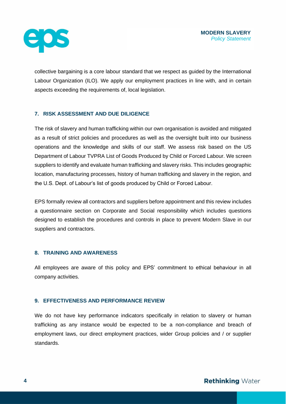

collective bargaining is a core labour standard that we respect as guided by the International Labour Organization (ILO). We apply our employment practices in line with, and in certain aspects exceeding the requirements of, local legislation.

# **7. RISK ASSESSMENT AND DUE DILIGENCE**

The risk of slavery and human trafficking within our own organisation is avoided and mitigated as a result of strict policies and procedures as well as the oversight built into our business operations and the knowledge and skills of our staff. We assess risk based on the US Department of Labour TVPRA List of Goods Produced by Child or Forced Labour. We screen suppliers to identify and evaluate human trafficking and slavery risks. This includes geographic location, manufacturing processes, history of human trafficking and slavery in the region, and the U.S. Dept. of Labour's list of goods produced by Child or Forced Labour.

EPS formally review all contractors and suppliers before appointment and this review includes a questionnaire section on Corporate and Social responsibility which includes questions designed to establish the procedures and controls in place to prevent Modern Slave in our suppliers and contractors.

### **8. TRAINING AND AWARENESS**

All employees are aware of this policy and EPS' commitment to ethical behaviour in all company activities.

### **9. EFFECTIVENESS AND PERFORMANCE REVIEW**

We do not have key performance indicators specifically in relation to slavery or human trafficking as any instance would be expected to be a non-compliance and breach of employment laws, our direct employment practices, wider Group policies and / or supplier standards.